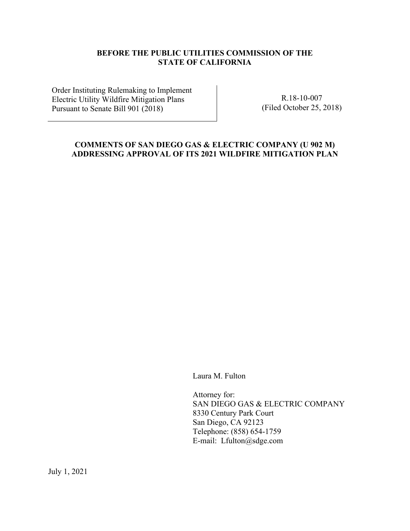# **BEFORE THE PUBLIC UTILITIES COMMISSION OF THE STATE OF CALIFORNIA**

Order Instituting Rulemaking to Implement Electric Utility Wildfire Mitigation Plans Pursuant to Senate Bill 901 (2018)

R.18-10-007 (Filed October 25, 2018)

# **COMMENTS OF SAN DIEGO GAS & ELECTRIC COMPANY (U 902 M) ADDRESSING APPROVAL OF ITS 2021 WILDFIRE MITIGATION PLAN**

Laura M. Fulton

Attorney for: SAN DIEGO GAS & ELECTRIC COMPANY 8330 Century Park Court San Diego, CA 92123 Telephone: (858) 654-1759 E-mail: Lfulton@sdge.com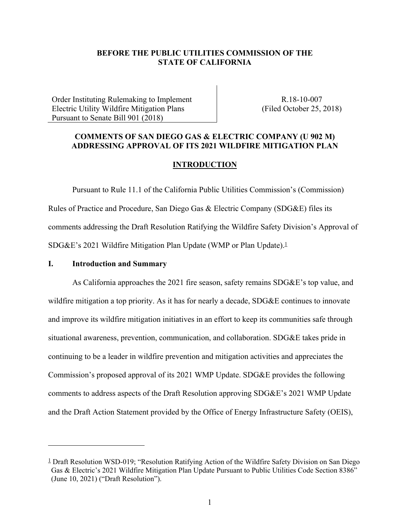## **BEFORE THE PUBLIC UTILITIES COMMISSION OF THE STATE OF CALIFORNIA**

Order Instituting Rulemaking to Implement Electric Utility Wildfire Mitigation Plans Pursuant to Senate Bill 901 (2018)

R.18-10-007 (Filed October 25, 2018)

# **COMMENTS OF SAN DIEGO GAS & ELECTRIC COMPANY (U 902 M) ADDRESSING APPROVAL OF ITS 2021 WILDFIRE MITIGATION PLAN**

#### **INTRODUCTION**

Pursuant to Rule 11.1 of the California Public Utilities Commission's (Commission) Rules of Practice and Procedure, San Diego Gas & Electric Company (SDG&E) files its comments addressing the Draft Resolution Ratifying the Wildfire Safety Division's Approval of SDG&E's 2021 Wildfire Mitigation Plan Update (WMP or Plan Update).<sup>1</sup>

#### **I. Introduction and Summary**

As California approaches the 2021 fire season, safety remains SDG&E's top value, and wildfire mitigation a top priority. As it has for nearly a decade, SDG&E continues to innovate and improve its wildfire mitigation initiatives in an effort to keep its communities safe through situational awareness, prevention, communication, and collaboration. SDG&E takes pride in continuing to be a leader in wildfire prevention and mitigation activities and appreciates the Commission's proposed approval of its 2021 WMP Update. SDG&E provides the following comments to address aspects of the Draft Resolution approving SDG&E's 2021 WMP Update and the Draft Action Statement provided by the Office of Energy Infrastructure Safety (OEIS),

<sup>1</sup> Draft Resolution WSD-019; "Resolution Ratifying Action of the Wildfire Safety Division on San Diego Gas & Electric's 2021 Wildfire Mitigation Plan Update Pursuant to Public Utilities Code Section 8386" (June 10, 2021) ("Draft Resolution").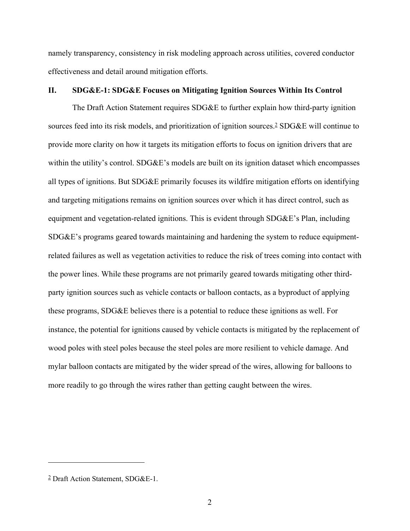namely transparency, consistency in risk modeling approach across utilities, covered conductor effectiveness and detail around mitigation efforts.

## **II. SDG&E-1: SDG&E Focuses on Mitigating Ignition Sources Within Its Control**

The Draft Action Statement requires SDG&E to further explain how third-party ignition sources feed into its risk models, and prioritization of ignition sources.<sup>2</sup> SDG&E will continue to provide more clarity on how it targets its mitigation efforts to focus on ignition drivers that are within the utility's control. SDG&E's models are built on its ignition dataset which encompasses all types of ignitions. But SDG&E primarily focuses its wildfire mitigation efforts on identifying and targeting mitigations remains on ignition sources over which it has direct control, such as equipment and vegetation-related ignitions. This is evident through SDG&E's Plan, including SDG&E's programs geared towards maintaining and hardening the system to reduce equipmentrelated failures as well as vegetation activities to reduce the risk of trees coming into contact with the power lines. While these programs are not primarily geared towards mitigating other thirdparty ignition sources such as vehicle contacts or balloon contacts, as a byproduct of applying these programs, SDG&E believes there is a potential to reduce these ignitions as well. For instance, the potential for ignitions caused by vehicle contacts is mitigated by the replacement of wood poles with steel poles because the steel poles are more resilient to vehicle damage. And mylar balloon contacts are mitigated by the wider spread of the wires, allowing for balloons to more readily to go through the wires rather than getting caught between the wires.

<sup>2</sup> Draft Action Statement, SDG&E-1.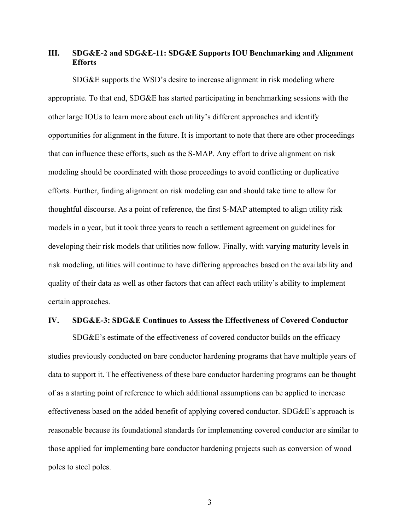# **III. SDG&E-2 and SDG&E-11: SDG&E Supports IOU Benchmarking and Alignment Efforts**

SDG&E supports the WSD's desire to increase alignment in risk modeling where appropriate. To that end, SDG&E has started participating in benchmarking sessions with the other large IOUs to learn more about each utility's different approaches and identify opportunities for alignment in the future. It is important to note that there are other proceedings that can influence these efforts, such as the S-MAP. Any effort to drive alignment on risk modeling should be coordinated with those proceedings to avoid conflicting or duplicative efforts. Further, finding alignment on risk modeling can and should take time to allow for thoughtful discourse. As a point of reference, the first S-MAP attempted to align utility risk models in a year, but it took three years to reach a settlement agreement on guidelines for developing their risk models that utilities now follow. Finally, with varying maturity levels in risk modeling, utilities will continue to have differing approaches based on the availability and quality of their data as well as other factors that can affect each utility's ability to implement certain approaches.

#### **IV. SDG&E-3: SDG&E Continues to Assess the Effectiveness of Covered Conductor**

SDG&E's estimate of the effectiveness of covered conductor builds on the efficacy studies previously conducted on bare conductor hardening programs that have multiple years of data to support it. The effectiveness of these bare conductor hardening programs can be thought of as a starting point of reference to which additional assumptions can be applied to increase effectiveness based on the added benefit of applying covered conductor. SDG&E's approach is reasonable because its foundational standards for implementing covered conductor are similar to those applied for implementing bare conductor hardening projects such as conversion of wood poles to steel poles.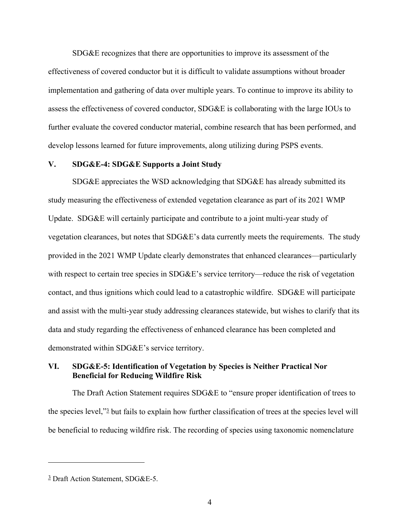SDG&E recognizes that there are opportunities to improve its assessment of the effectiveness of covered conductor but it is difficult to validate assumptions without broader implementation and gathering of data over multiple years. To continue to improve its ability to assess the effectiveness of covered conductor, SDG&E is collaborating with the large IOUs to further evaluate the covered conductor material, combine research that has been performed, and develop lessons learned for future improvements, along utilizing during PSPS events.

#### **V. SDG&E-4: SDG&E Supports a Joint Study**

SDG&E appreciates the WSD acknowledging that SDG&E has already submitted its study measuring the effectiveness of extended vegetation clearance as part of its 2021 WMP Update. SDG&E will certainly participate and contribute to a joint multi-year study of vegetation clearances, but notes that SDG&E's data currently meets the requirements. The study provided in the 2021 WMP Update clearly demonstrates that enhanced clearances—particularly with respect to certain tree species in SDG&E's service territory—reduce the risk of vegetation contact, and thus ignitions which could lead to a catastrophic wildfire. SDG&E will participate and assist with the multi-year study addressing clearances statewide, but wishes to clarify that its data and study regarding the effectiveness of enhanced clearance has been completed and demonstrated within SDG&E's service territory.

## **VI. SDG&E-5: Identification of Vegetation by Species is Neither Practical Nor Beneficial for Reducing Wildfire Risk**

The Draft Action Statement requires SDG&E to "ensure proper identification of trees to the species level,"3 but fails to explain how further classification of trees at the species level will be beneficial to reducing wildfire risk. The recording of species using taxonomic nomenclature

<sup>3</sup> Draft Action Statement, SDG&E-5.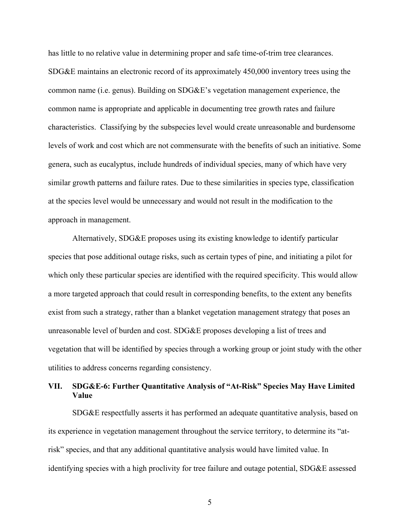has little to no relative value in determining proper and safe time-of-trim tree clearances. SDG&E maintains an electronic record of its approximately 450,000 inventory trees using the common name (i.e. genus). Building on SDG&E's vegetation management experience, the common name is appropriate and applicable in documenting tree growth rates and failure characteristics. Classifying by the subspecies level would create unreasonable and burdensome levels of work and cost which are not commensurate with the benefits of such an initiative. Some genera, such as eucalyptus, include hundreds of individual species, many of which have very similar growth patterns and failure rates. Due to these similarities in species type, classification at the species level would be unnecessary and would not result in the modification to the approach in management.

Alternatively, SDG&E proposes using its existing knowledge to identify particular species that pose additional outage risks, such as certain types of pine, and initiating a pilot for which only these particular species are identified with the required specificity. This would allow a more targeted approach that could result in corresponding benefits, to the extent any benefits exist from such a strategy, rather than a blanket vegetation management strategy that poses an unreasonable level of burden and cost. SDG&E proposes developing a list of trees and vegetation that will be identified by species through a working group or joint study with the other utilities to address concerns regarding consistency.

# **VII. SDG&E-6: Further Quantitative Analysis of "At-Risk" Species May Have Limited Value**

SDG&E respectfully asserts it has performed an adequate quantitative analysis, based on its experience in vegetation management throughout the service territory, to determine its "atrisk" species, and that any additional quantitative analysis would have limited value. In identifying species with a high proclivity for tree failure and outage potential, SDG&E assessed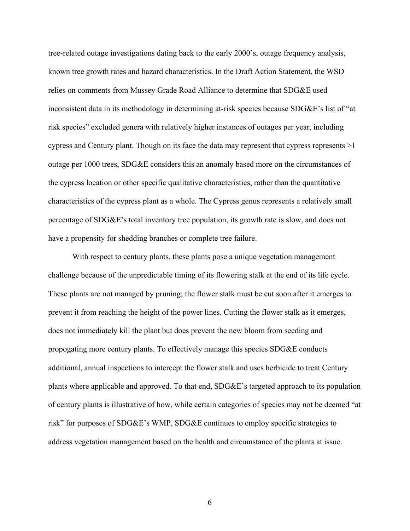tree-related outage investigations dating back to the early 2000's, outage frequency analysis, known tree growth rates and hazard characteristics. In the Draft Action Statement, the WSD relies on comments from Mussey Grade Road Alliance to determine that SDG&E used inconsistent data in its methodology in determining at-risk species because SDG&E's list of "at risk species" excluded genera with relatively higher instances of outages per year, including cypress and Century plant. Though on its face the data may represent that cypress represents >1 outage per 1000 trees, SDG&E considers this an anomaly based more on the circumstances of the cypress location or other specific qualitative characteristics, rather than the quantitative characteristics of the cypress plant as a whole. The Cypress genus represents a relatively small percentage of SDG&E's total inventory tree population, its growth rate is slow, and does not have a propensity for shedding branches or complete tree failure.

With respect to century plants, these plants pose a unique vegetation management challenge because of the unpredictable timing of its flowering stalk at the end of its life cycle. These plants are not managed by pruning; the flower stalk must be cut soon after it emerges to prevent it from reaching the height of the power lines. Cutting the flower stalk as it emerges, does not immediately kill the plant but does prevent the new bloom from seeding and propogating more century plants. To effectively manage this species SDG&E conducts additional, annual inspections to intercept the flower stalk and uses herbicide to treat Century plants where applicable and approved. To that end, SDG&E's targeted approach to its population of century plants is illustrative of how, while certain categories of species may not be deemed "at risk" for purposes of SDG&E's WMP, SDG&E continues to employ specific strategies to address vegetation management based on the health and circumstance of the plants at issue.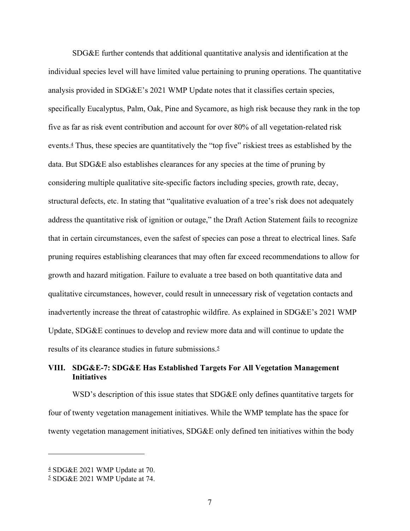SDG&E further contends that additional quantitative analysis and identification at the individual species level will have limited value pertaining to pruning operations. The quantitative analysis provided in SDG&E's 2021 WMP Update notes that it classifies certain species, specifically Eucalyptus, Palm, Oak, Pine and Sycamore, as high risk because they rank in the top five as far as risk event contribution and account for over 80% of all vegetation-related risk events.4 Thus, these species are quantitatively the "top five" riskiest trees as established by the data. But SDG&E also establishes clearances for any species at the time of pruning by considering multiple qualitative site-specific factors including species, growth rate, decay, structural defects, etc. In stating that "qualitative evaluation of a tree's risk does not adequately address the quantitative risk of ignition or outage," the Draft Action Statement fails to recognize that in certain circumstances, even the safest of species can pose a threat to electrical lines. Safe pruning requires establishing clearances that may often far exceed recommendations to allow for growth and hazard mitigation. Failure to evaluate a tree based on both quantitative data and qualitative circumstances, however, could result in unnecessary risk of vegetation contacts and inadvertently increase the threat of catastrophic wildfire. As explained in SDG&E's 2021 WMP Update, SDG&E continues to develop and review more data and will continue to update the results of its clearance studies in future submissions.<sup>5</sup>

# **VIII. SDG&E-7: SDG&E Has Established Targets For All Vegetation Management Initiatives**

WSD's description of this issue states that SDG&E only defines quantitative targets for four of twenty vegetation management initiatives. While the WMP template has the space for twenty vegetation management initiatives, SDG&E only defined ten initiatives within the body

<sup>4</sup> SDG&E 2021 WMP Update at 70.

<sup>5</sup> SDG&E 2021 WMP Update at 74.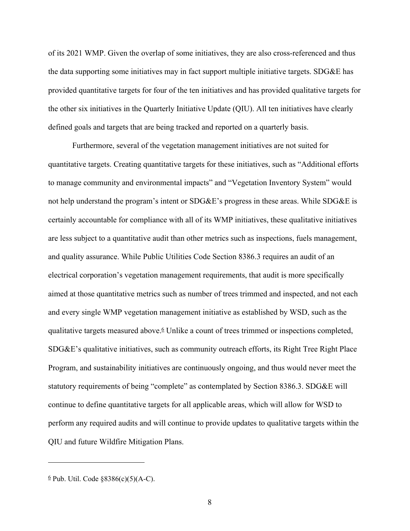of its 2021 WMP. Given the overlap of some initiatives, they are also cross-referenced and thus the data supporting some initiatives may in fact support multiple initiative targets. SDG&E has provided quantitative targets for four of the ten initiatives and has provided qualitative targets for the other six initiatives in the Quarterly Initiative Update (QIU). All ten initiatives have clearly defined goals and targets that are being tracked and reported on a quarterly basis.

Furthermore, several of the vegetation management initiatives are not suited for quantitative targets. Creating quantitative targets for these initiatives, such as "Additional efforts to manage community and environmental impacts" and "Vegetation Inventory System" would not help understand the program's intent or SDG&E's progress in these areas. While SDG&E is certainly accountable for compliance with all of its WMP initiatives, these qualitative initiatives are less subject to a quantitative audit than other metrics such as inspections, fuels management, and quality assurance. While Public Utilities Code Section 8386.3 requires an audit of an electrical corporation's vegetation management requirements, that audit is more specifically aimed at those quantitative metrics such as number of trees trimmed and inspected, and not each and every single WMP vegetation management initiative as established by WSD, such as the qualitative targets measured above.<sup>6</sup> Unlike a count of trees trimmed or inspections completed, SDG&E's qualitative initiatives, such as community outreach efforts, its Right Tree Right Place Program, and sustainability initiatives are continuously ongoing, and thus would never meet the statutory requirements of being "complete" as contemplated by Section 8386.3. SDG&E will continue to define quantitative targets for all applicable areas, which will allow for WSD to perform any required audits and will continue to provide updates to qualitative targets within the QIU and future Wildfire Mitigation Plans.

 $6$  Pub. Util. Code §8386(c)(5)(A-C).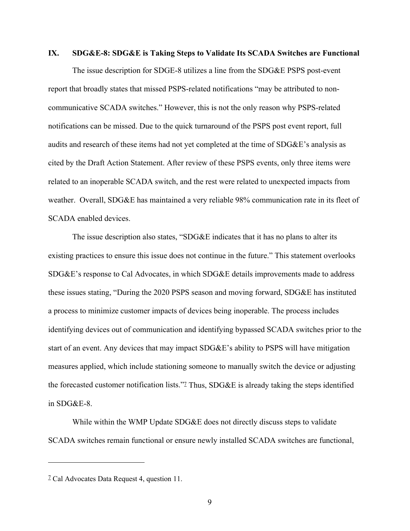#### **IX. SDG&E-8: SDG&E is Taking Steps to Validate Its SCADA Switches are Functional**

The issue description for SDGE-8 utilizes a line from the SDG&E PSPS post-event report that broadly states that missed PSPS-related notifications "may be attributed to noncommunicative SCADA switches." However, this is not the only reason why PSPS-related notifications can be missed. Due to the quick turnaround of the PSPS post event report, full audits and research of these items had not yet completed at the time of SDG&E's analysis as cited by the Draft Action Statement. After review of these PSPS events, only three items were related to an inoperable SCADA switch, and the rest were related to unexpected impacts from weather. Overall, SDG&E has maintained a very reliable 98% communication rate in its fleet of SCADA enabled devices.

The issue description also states, "SDG&E indicates that it has no plans to alter its existing practices to ensure this issue does not continue in the future." This statement overlooks SDG&E's response to Cal Advocates, in which SDG&E details improvements made to address these issues stating, "During the 2020 PSPS season and moving forward, SDG&E has instituted a process to minimize customer impacts of devices being inoperable. The process includes identifying devices out of communication and identifying bypassed SCADA switches prior to the start of an event. Any devices that may impact SDG&E's ability to PSPS will have mitigation measures applied, which include stationing someone to manually switch the device or adjusting the forecasted customer notification lists."<sup>7</sup> Thus, SDG&E is already taking the steps identified in SDG&E-8.

While within the WMP Update SDG&E does not directly discuss steps to validate SCADA switches remain functional or ensure newly installed SCADA switches are functional,

<sup>7</sup> Cal Advocates Data Request 4, question 11.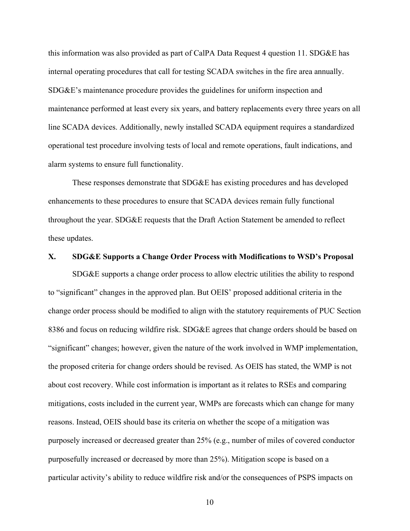this information was also provided as part of CalPA Data Request 4 question 11. SDG&E has internal operating procedures that call for testing SCADA switches in the fire area annually. SDG&E's maintenance procedure provides the guidelines for uniform inspection and maintenance performed at least every six years, and battery replacements every three years on all line SCADA devices. Additionally, newly installed SCADA equipment requires a standardized operational test procedure involving tests of local and remote operations, fault indications, and alarm systems to ensure full functionality.

These responses demonstrate that SDG&E has existing procedures and has developed enhancements to these procedures to ensure that SCADA devices remain fully functional throughout the year. SDG&E requests that the Draft Action Statement be amended to reflect these updates.

#### **X. SDG&E Supports a Change Order Process with Modifications to WSD's Proposal**

SDG&E supports a change order process to allow electric utilities the ability to respond to "significant" changes in the approved plan. But OEIS' proposed additional criteria in the change order process should be modified to align with the statutory requirements of PUC Section 8386 and focus on reducing wildfire risk. SDG&E agrees that change orders should be based on "significant" changes; however, given the nature of the work involved in WMP implementation, the proposed criteria for change orders should be revised. As OEIS has stated, the WMP is not about cost recovery. While cost information is important as it relates to RSEs and comparing mitigations, costs included in the current year, WMPs are forecasts which can change for many reasons. Instead, OEIS should base its criteria on whether the scope of a mitigation was purposely increased or decreased greater than 25% (e.g., number of miles of covered conductor purposefully increased or decreased by more than 25%). Mitigation scope is based on a particular activity's ability to reduce wildfire risk and/or the consequences of PSPS impacts on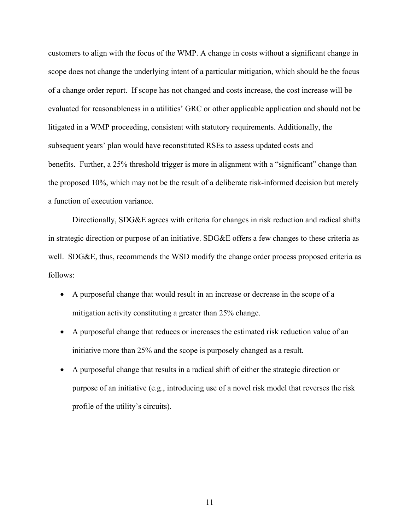customers to align with the focus of the WMP. A change in costs without a significant change in scope does not change the underlying intent of a particular mitigation, which should be the focus of a change order report. If scope has not changed and costs increase, the cost increase will be evaluated for reasonableness in a utilities' GRC or other applicable application and should not be litigated in a WMP proceeding, consistent with statutory requirements. Additionally, the subsequent years' plan would have reconstituted RSEs to assess updated costs and benefits. Further, a 25% threshold trigger is more in alignment with a "significant" change than the proposed 10%, which may not be the result of a deliberate risk-informed decision but merely a function of execution variance.

Directionally, SDG&E agrees with criteria for changes in risk reduction and radical shifts in strategic direction or purpose of an initiative. SDG&E offers a few changes to these criteria as well. SDG&E, thus, recommends the WSD modify the change order process proposed criteria as follows:

- A purposeful change that would result in an increase or decrease in the scope of a mitigation activity constituting a greater than 25% change.
- A purposeful change that reduces or increases the estimated risk reduction value of an initiative more than 25% and the scope is purposely changed as a result.
- A purposeful change that results in a radical shift of either the strategic direction or purpose of an initiative (e.g., introducing use of a novel risk model that reverses the risk profile of the utility's circuits).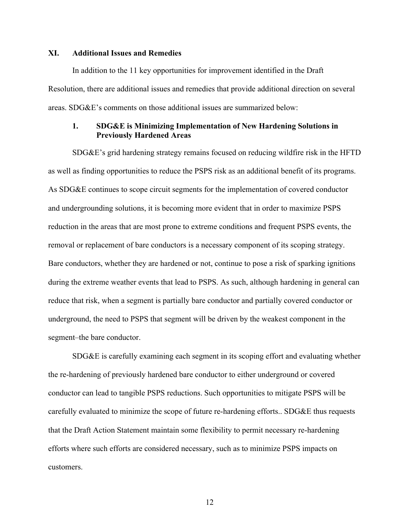### **XI. Additional Issues and Remedies**

In addition to the 11 key opportunities for improvement identified in the Draft Resolution, there are additional issues and remedies that provide additional direction on several areas. SDG&E's comments on those additional issues are summarized below:

### **1. SDG&E is Minimizing Implementation of New Hardening Solutions in Previously Hardened Areas**

SDG&E's grid hardening strategy remains focused on reducing wildfire risk in the HFTD as well as finding opportunities to reduce the PSPS risk as an additional benefit of its programs. As SDG&E continues to scope circuit segments for the implementation of covered conductor and undergrounding solutions, it is becoming more evident that in order to maximize PSPS reduction in the areas that are most prone to extreme conditions and frequent PSPS events, the removal or replacement of bare conductors is a necessary component of its scoping strategy. Bare conductors, whether they are hardened or not, continue to pose a risk of sparking ignitions during the extreme weather events that lead to PSPS. As such, although hardening in general can reduce that risk, when a segment is partially bare conductor and partially covered conductor or underground, the need to PSPS that segment will be driven by the weakest component in the segment–the bare conductor.

SDG&E is carefully examining each segment in its scoping effort and evaluating whether the re-hardening of previously hardened bare conductor to either underground or covered conductor can lead to tangible PSPS reductions. Such opportunities to mitigate PSPS will be carefully evaluated to minimize the scope of future re-hardening efforts.. SDG&E thus requests that the Draft Action Statement maintain some flexibility to permit necessary re-hardening efforts where such efforts are considered necessary, such as to minimize PSPS impacts on customers.